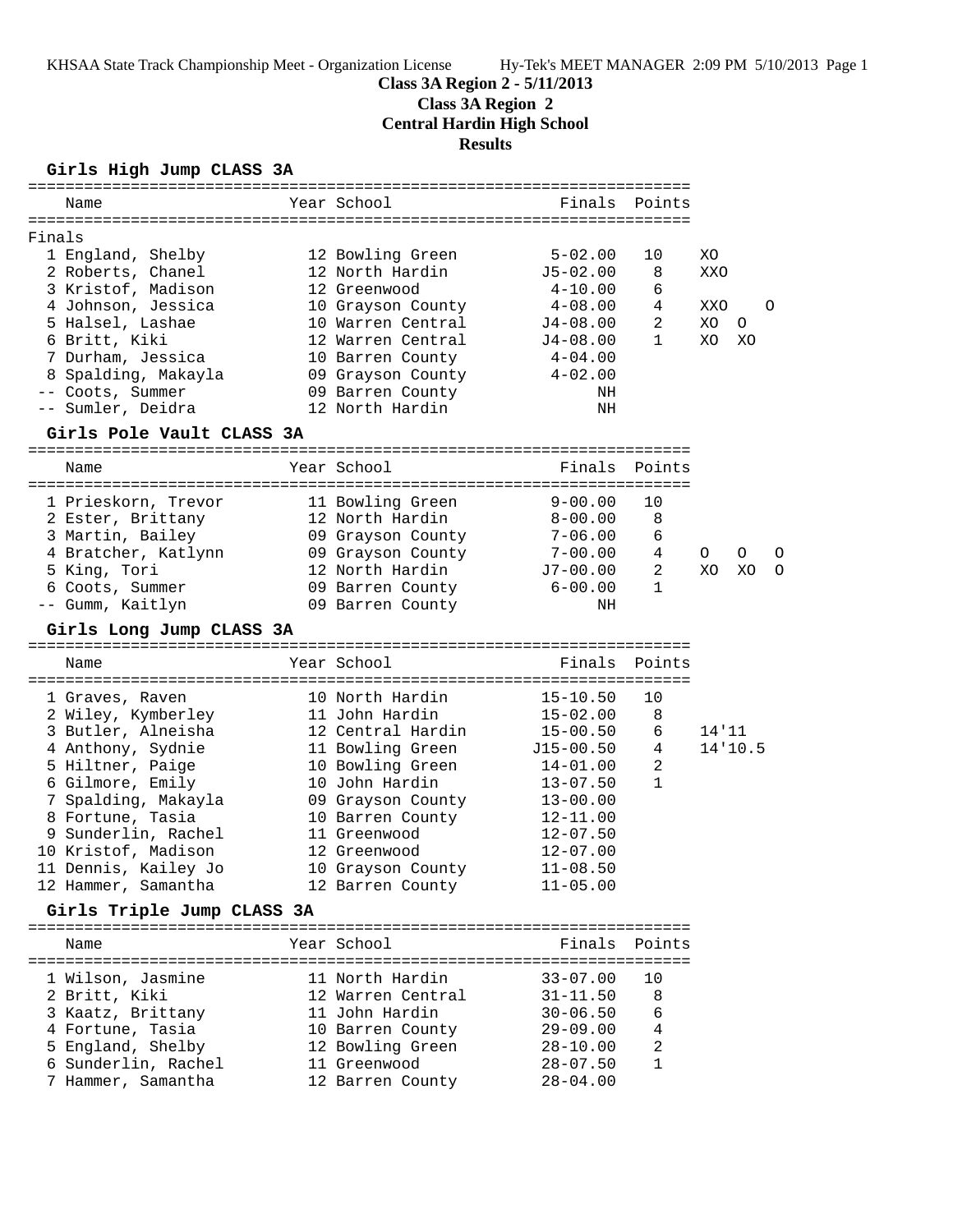**Class 3A Region 2 - 5/11/2013**

## **Class 3A Region 2**

**Central Hardin High School**

**Results**

## **Girls High Jump CLASS 3A**

|        | Name                       | Year School       | Finals       | Points         |         |         |         |
|--------|----------------------------|-------------------|--------------|----------------|---------|---------|---------|
|        |                            |                   |              |                |         |         |         |
| Finals |                            |                   |              |                |         |         |         |
|        | 1 England, Shelby          | 12 Bowling Green  | $5 - 02.00$  | 10             | XO.     |         |         |
|        | 2 Roberts, Chanel          | 12 North Hardin   | $J5 - 02.00$ | 8              | XXO     |         |         |
|        | 3 Kristof, Madison         | 12 Greenwood      | 4-10.00      | 6              |         |         |         |
|        | 4 Johnson, Jessica         | 10 Grayson County | 4-08.00      | 4              | XXO     |         | $\circ$ |
|        | 5 Halsel, Lashae           | 10 Warren Central | J4-08.00     | 2              | XO      | $\circ$ |         |
|        | 6 Britt, Kiki              | 12 Warren Central | J4-08.00     | $\mathbf{1}$   | XO      | XO      |         |
|        | 7 Durham, Jessica          | 10 Barren County  | 4-04.00      |                |         |         |         |
|        | 8 Spalding, Makayla        | 09 Grayson County | $4 - 02.00$  |                |         |         |         |
|        | -- Coots, Summer           | 09 Barren County  | ΝH           |                |         |         |         |
|        | -- Sumler, Deidra          | 12 North Hardin   | NH           |                |         |         |         |
|        | Girls Pole Vault CLASS 3A  |                   |              |                |         |         |         |
|        | Name                       | Year School       |              | Finals Points  |         |         |         |
|        |                            |                   |              |                |         |         |         |
|        | 1 Prieskorn, Trevor        | 11 Bowling Green  | $9 - 00.00$  | 10             |         |         |         |
|        | 2 Ester, Brittany          | 12 North Hardin   | $8 - 00.00$  | 8              |         |         |         |
|        | 3 Martin, Bailey           | 09 Grayson County | $7 - 06.00$  | 6              |         |         |         |
|        | 4 Bratcher, Katlynn        | 09 Grayson County | $7 - 00.00$  | 4              | $\circ$ | O       | O       |
|        | 5 King, Tori               | 12 North Hardin   | J7-00.00     | $\overline{a}$ | XO      | XO      | O       |
|        | 6 Coots, Summer            | 09 Barren County  | $6 - 00.00$  | $\mathbf{1}$   |         |         |         |
|        | -- Gumm, Kaitlyn           | 09 Barren County  | ΝH           |                |         |         |         |
|        | Girls Long Jump CLASS 3A   |                   |              |                |         |         |         |
|        |                            |                   |              |                |         |         |         |
|        | Name                       | Year School       | Finals       | Points         |         |         |         |
|        |                            |                   |              |                |         |         |         |
|        | 1 Graves, Raven            | 10 North Hardin   | $15 - 10.50$ | 10             |         |         |         |
|        | 2 Wiley, Kymberley         | 11 John Hardin    | $15 - 02.00$ | 8              |         |         |         |
|        | 3 Butler, Alneisha         | 12 Central Hardin | $15 - 00.50$ | 6              | 14'11   |         |         |
|        | 4 Anthony, Sydnie          | 11 Bowling Green  | $J15-00.50$  | 4              |         | 14'10.5 |         |
|        | 5 Hiltner, Paige           | 10 Bowling Green  | 14-01.00     | 2              |         |         |         |
|        | 6 Gilmore, Emily           | 10 John Hardin    | $13 - 07.50$ | 1              |         |         |         |
|        | 7 Spalding, Makayla        | 09 Grayson County | $13 - 00.00$ |                |         |         |         |
|        | 8 Fortune, Tasia           | 10 Barren County  | 12-11.00     |                |         |         |         |
|        | 9 Sunderlin, Rachel        | 11 Greenwood      | $12 - 07.50$ |                |         |         |         |
|        | 10 Kristof, Madison        | 12 Greenwood      | $12 - 07.00$ |                |         |         |         |
|        | 11 Dennis, Kailey Jo       | 10 Grayson County | $11 - 08.50$ |                |         |         |         |
|        | 12 Hammer, Samantha        | 12 Barren County  | $11 - 05.00$ |                |         |         |         |
|        | Girls Triple Jump CLASS 3A |                   |              |                |         |         |         |
|        | Name                       | Year School       |              | Finals Points  |         |         |         |
|        |                            |                   |              |                |         |         |         |
|        | 1 Wilson, Jasmine          | 11 North Hardin   | $33 - 07.00$ | 10             |         |         |         |
|        | 2 Britt, Kiki              | 12 Warren Central | $31 - 11.50$ | 8              |         |         |         |
|        | 3 Kaatz, Brittany          | 11 John Hardin    | $30 - 06.50$ | 6              |         |         |         |
|        | 4 Fortune, Tasia           | 10 Barren County  | $29 - 09.00$ | 4              |         |         |         |
|        | 5 England, Shelby          | 12 Bowling Green  | $28 - 10.00$ | 2              |         |         |         |
|        | 6 Sunderlin, Rachel        | 11 Greenwood      | $28 - 07.50$ | $\mathbf{1}$   |         |         |         |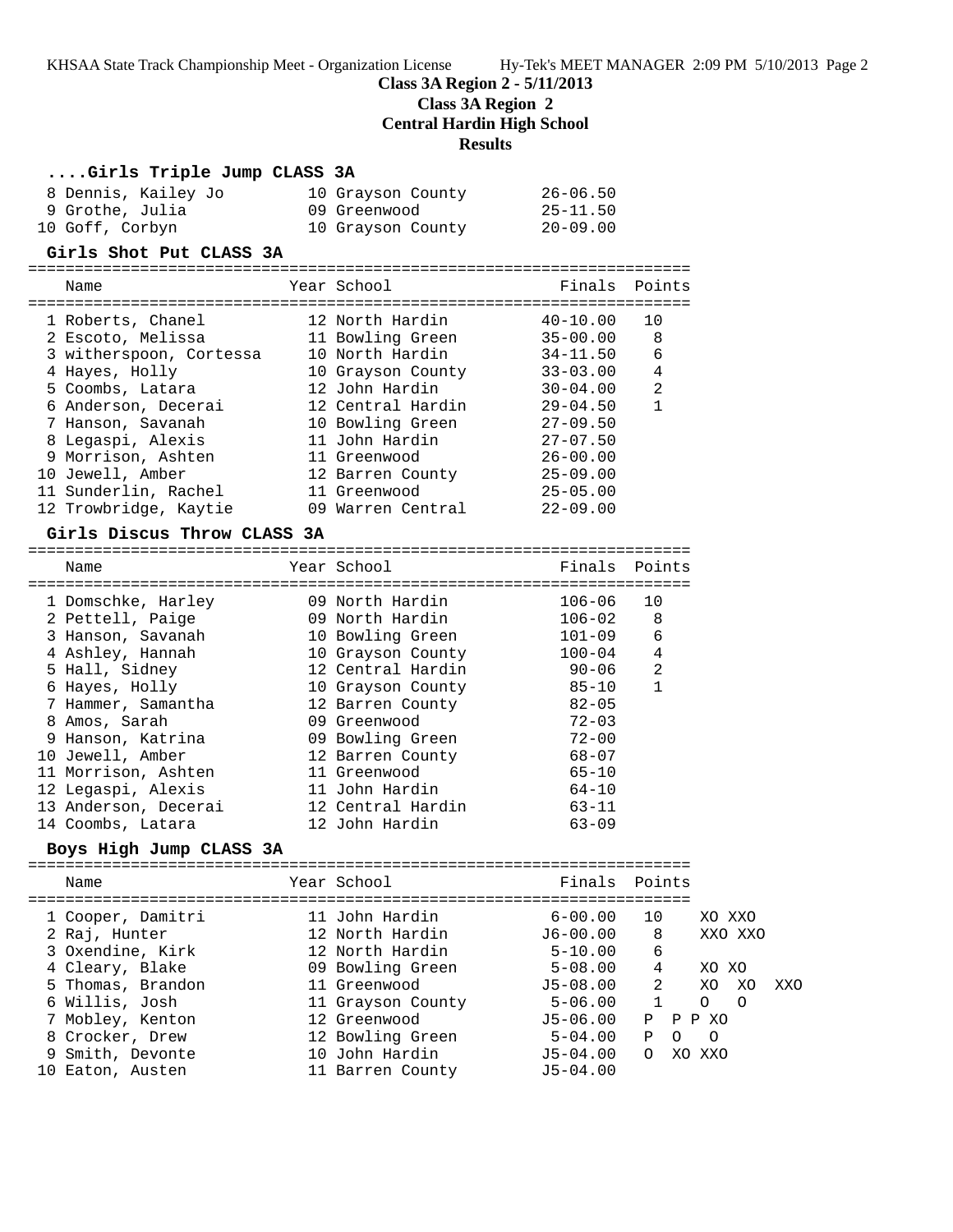**Class 3A Region 2 - 5/11/2013**

**Class 3A Region 2**

**Central Hardin High School**

=======================================================================

#### **Results**

#### **....Girls Triple Jump CLASS 3A**

| 8 Dennis, Kailey Jo | 10 Grayson County | $26 - 06.50$ |
|---------------------|-------------------|--------------|
| 9 Grothe, Julia     | 09 Greenwood      | $25 - 11.50$ |
| 10 Goff, Corbyn     | 10 Grayson County | $20 - 09.00$ |

#### **Girls Shot Put CLASS 3A**

======================================================================= Name The Year School Team Points Points ======================================================================= 1 Roberts, Chanel 12 North Hardin 40-10.00 10 2 Escoto, Melissa 11 Bowling Green 35-00.00 8 3 witherspoon, Cortessa 10 North Hardin 34-11.50 6 4 Hayes, Holly 10 Grayson County 33-03.00 4 5 Coombs, Latara 12 John Hardin 30-04.00 2

| 6 Anderson, Decerai   |  | $29 - 04.50$                                                                                                                     |  |
|-----------------------|--|----------------------------------------------------------------------------------------------------------------------------------|--|
| 7 Hanson, Savanah     |  | $27 - 09.50$                                                                                                                     |  |
| 8 Legaspi, Alexis     |  | $27 - 07.50$                                                                                                                     |  |
| 9 Morrison, Ashten    |  | $26 - 00.00$                                                                                                                     |  |
| 10 Jewell, Amber      |  | $25 - 09.00$                                                                                                                     |  |
| 11 Sunderlin, Rachel  |  | $25 - 05.00$                                                                                                                     |  |
| 12 Trowbridge, Kaytie |  | $22 - 09.00$                                                                                                                     |  |
|                       |  | 12 Central Hardin<br>10 Bowling Green<br>11 John Hardin<br>11 Greenwood<br>12 Barren County<br>11 Greenwood<br>09 Warren Central |  |

#### **Girls Discus Throw CLASS 3A**

| Name                 | Year School       | Finals Points |                |
|----------------------|-------------------|---------------|----------------|
| 1 Domschke, Harley   | 09 North Hardin   | 106-06        | 10             |
| 2 Pettell, Paige     | 09 North Hardin   | $106 - 02$    | 8              |
| 3 Hanson, Savanah    | 10 Bowling Green  | $101 - 09$    | 6              |
| 4 Ashley, Hannah     | 10 Grayson County | $100 - 04$    | 4              |
| 5 Hall, Sidney       | 12 Central Hardin | 90-06         | $\mathfrak{D}$ |
| 6 Hayes, Holly       | 10 Grayson County | $85 - 10$     | $\mathbf{1}$   |
| 7 Hammer, Samantha   | 12 Barren County  | $82 - 05$     |                |
| 8 Amos, Sarah        | 09 Greenwood      | $72 - 03$     |                |
| 9 Hanson, Katrina    | 09 Bowling Green  | $72 - 00$     |                |
| 10 Jewell, Amber     | 12 Barren County  | 68-07         |                |
| 11 Morrison, Ashten  | 11 Greenwood      | $65 - 10$     |                |
| 12 Legaspi, Alexis   | 11 John Hardin    | $64 - 10$     |                |
| 13 Anderson, Decerai | 12 Central Hardin | $63 - 11$     |                |
| 14 Coombs, Latara    | 12 John Hardin    | $63 - 09$     |                |

**Boys High Jump CLASS 3A** ======================================================================= Name The Year School The Points Points ======================================================================= 1 Cooper, Damitri 11 John Hardin 6-00.00 10 XO XXO 2 Raj, Hunter 12 North Hardin J6-00.00 8 XXO XXO 3 Oxendine, Kirk 12 North Hardin 5-10.00 6 4 Cleary, Blake 09 Bowling Green 5-08.00 4 XO XO 5 Thomas, Brandon 11 Greenwood J5-08.00 2 XO XO XXO 6 Willis, Josh 11 Grayson County 5-06.00 1 O O 7 Mobley, Kenton 12 Greenwood J5-06.00 P P P XO 8 Crocker, Drew 12 Bowling Green 5-04.00 P O O 9 Smith, Devonte 10 John Hardin J5-04.00 O XO XXO 10 Eaton, Austen 11 Barren County J5-04.00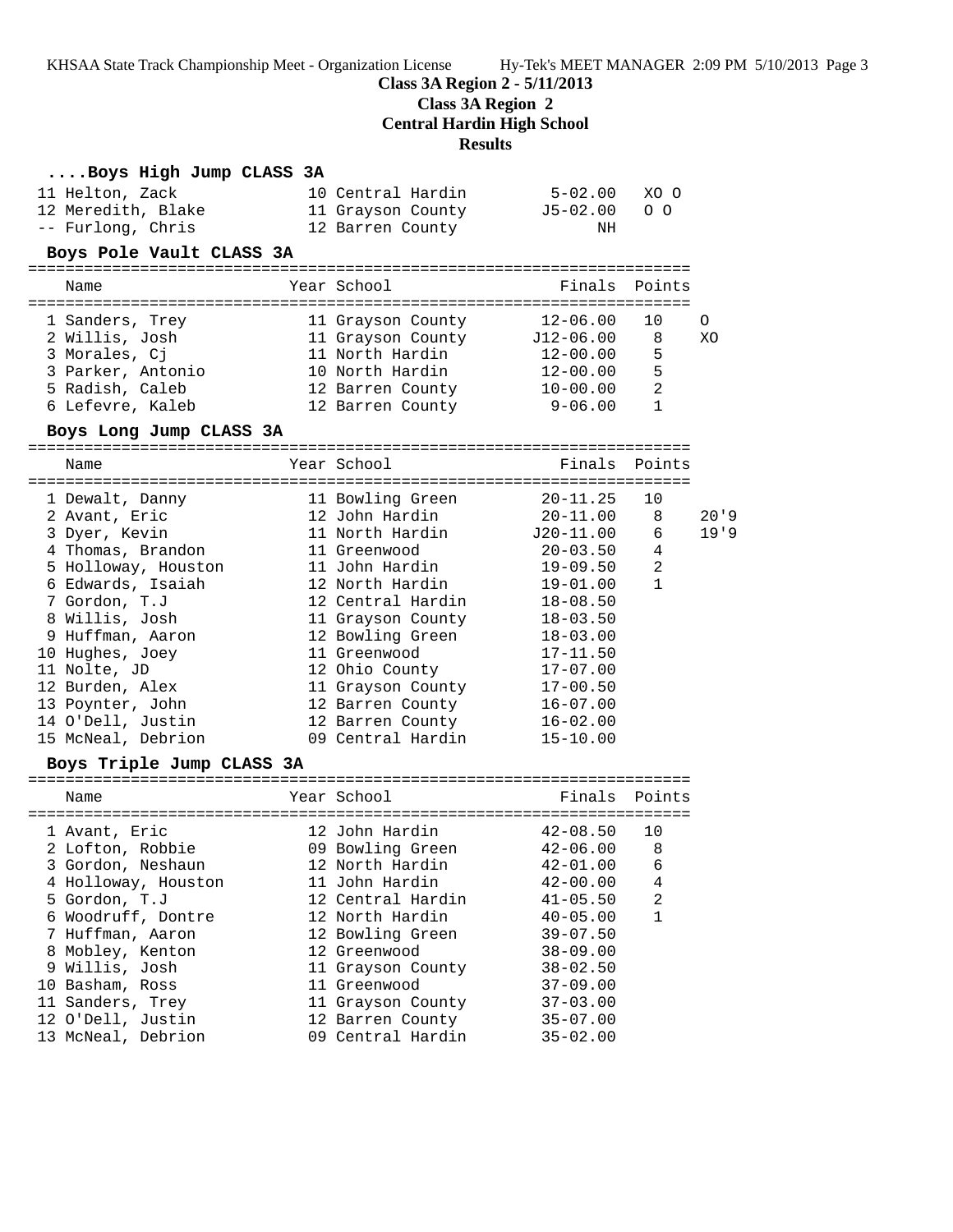**Class 3A Region 2 - 5/11/2013**

**Class 3A Region 2**

**Central Hardin High School**

#### **Results**

### **....Boys High Jump CLASS 3A**

| 11 Helton, Zack    | 10 Central Hardin | $5 - 02.00$ | XO O |
|--------------------|-------------------|-------------|------|
| 12 Meredith, Blake | 11 Grayson County | J5-02.00 OO |      |
| -- Furlong, Chris  | 12 Barren County  | NH          |      |

#### **Boys Pole Vault CLASS 3A**

| Name              | Year School       | Finals Points |     |    |
|-------------------|-------------------|---------------|-----|----|
|                   |                   |               |     |    |
| 1 Sanders, Trey   | 11 Grayson County | $12 - 06.00$  | 1 O | ∩  |
| 2 Willis, Josh    | 11 Grayson County | $J12-06.00$   | -8  | XΟ |
| 3 Morales, Ci     | 11 North Hardin   | $12 - 00.00$  | 5   |    |
| 3 Parker, Antonio | 10 North Hardin   | $12 - 00.00$  | 5   |    |
| 5 Radish, Caleb   | 12 Barren County  | $10 - 00.00$  | 2   |    |
| 6 Lefevre, Kaleb  | 12 Barren County  | $9 - 06.00$   |     |    |

#### **Boys Long Jump CLASS 3A**

| Name                                           | Year School       | Finals Points |                |          |
|------------------------------------------------|-------------------|---------------|----------------|----------|
|                                                |                   |               |                |          |
| 1 Dewalt, Danny                                | 11 Bowling Green  | $20 - 11.25$  | 10             |          |
| 2 Avant, Eric                                  | 12 John Hardin    | 20-11.00      | 8              | $20'$ '9 |
| 3 Dyer, Kevin                                  | 11 North Hardin   | J20-11.00     | 6              | 19'9     |
| 4 Thomas, Brandon                              | 11 Greenwood      | $20 - 03.50$  | $\overline{4}$ |          |
| 5 Holloway, Houston             11 John Hardin |                   | 19-09.50      | $\overline{2}$ |          |
| 6 Edwards, Isaiah                              | 12 North Hardin   | 19-01.00      | $\mathbf{1}$   |          |
| 7 Gordon, T.J                                  | 12 Central Hardin | 18-08.50      |                |          |
| 8 Willis, Josh                                 | 11 Grayson County | $18 - 03.50$  |                |          |
| 9 Huffman, Aaron                               | 12 Bowling Green  | $18 - 03.00$  |                |          |
| 10 Hughes, Joey                                | 11 Greenwood      | $17 - 11.50$  |                |          |
| 11 Nolte, JD                                   | 12 Ohio County    | $17 - 07.00$  |                |          |
| 12 Burden, Alex                                | 11 Grayson County | $17 - 00.50$  |                |          |
| 13 Poynter, John                               | 12 Barren County  | $16 - 07.00$  |                |          |
| 14 O'Dell, Justin                              | 12 Barren County  | $16 - 02.00$  |                |          |
| 15 McNeal, Debrion                             | 09 Central Hardin | $15 - 10.00$  |                |          |
|                                                |                   |               |                |          |

## **Boys Triple Jump CLASS 3A**

| Name                | Year School       | Finals Points |                |
|---------------------|-------------------|---------------|----------------|
|                     |                   |               |                |
| 1 Avant, Eric       | 12 John Hardin    | $42 - 08.50$  | 10             |
| 2 Lofton, Robbie    | 09 Bowling Green  | $42 - 06.00$  | 8              |
| 3 Gordon, Neshaun   | 12 North Hardin   | $42 - 01.00$  | 6              |
| 4 Holloway, Houston | 11 John Hardin    | $42 - 00.00$  | 4              |
| 5 Gordon, T.J       | 12 Central Hardin | $41 - 05.50$  | $\overline{2}$ |
| 6 Woodruff, Dontre  | 12 North Hardin   | $40 - 05.00$  | $\mathbf{1}$   |
| 7 Huffman, Aaron    | 12 Bowling Green  | $39 - 07.50$  |                |
| 8 Mobley, Kenton    | 12 Greenwood      | $38 - 09.00$  |                |
| 9 Willis, Josh      | 11 Grayson County | $38 - 02.50$  |                |
| 10 Basham, Ross     | 11 Greenwood      | $37 - 09.00$  |                |
| 11 Sanders, Trey    | 11 Grayson County | $37 - 03.00$  |                |
| 12 O'Dell, Justin   | 12 Barren County  | $35 - 07.00$  |                |
| 13 McNeal, Debrion  | 09 Central Hardin | $35 - 02.00$  |                |